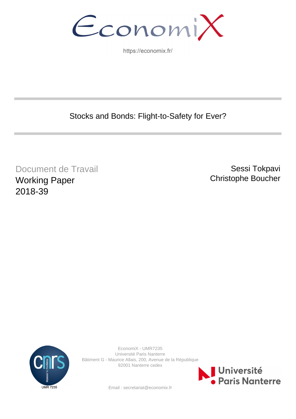EconomiX

https://economix.fr/

Stocks and Bonds: Flight-to-Safety for Ever?

Document de Travail Working Paper 2018-39

Sessi Tokpavi Christophe Boucher



EconomiX - UMR7235 Université Paris Nanterre Bâtiment G - Maurice Allais, 200, Avenue de la République 92001 Nanterre cedex



Email : secretariat@economix.fr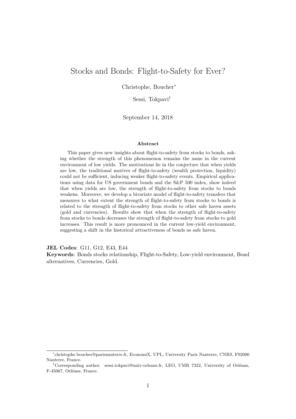## Stocks and Bonds: Flight-to-Safety for Ever?

Christophe, Boucher<sup>∗</sup>

Sessi, Tokpavi†

September 14, 2018

#### **Abstract**

This paper gives new insights about flight-to-safety from stocks to bonds, asking whether the strength of this phenomenon remains the same in the current environment of low yields. The motivations lie in the conjecture that when yields are low, the traditional motives of flight-to-safety (wealth protection, liquidity) could not be sufficient, inducing weaker flight-to-safety events. Empirical applications using data for US government bonds and the S&P 500 index, show indeed that when yields are low, the strength of flight-to-safety from stocks to bonds weakens. Moreover, we develop a bivariate model of flight-to-safety transfers that measures to what extent the strength of flight-to-safety from stocks to bonds is related to the strength of flight-to-safety from stocks to other safe haven assets (gold and currencies). Results show that when the strength of flight-to-safety from stocks to bonds decreases the strength of flight-to-safety from stocks to gold increases. This result is more pronounced in the current low-yield environment, suggesting a shift in the historical attractiveness of bonds as safe haven.

**JEL Codes**: G11, G12, E43, E44

**Keywords**: Bonds stocks relationship, Flight-to-Safety, Low-yield environment, Bond alternatives, Currencies, Gold.

<sup>∗</sup> christophe.boucher@parisnanterre.fr, EconomiX, UPL, University Paris Nanterre, CNRS, F92000 Nanterre, France.

<sup>†</sup>Corresponding author. sessi.tokpavi@univ-orleans.fr, LEO, UMR 7322, University of Orléans, F-45067, Orléans, France.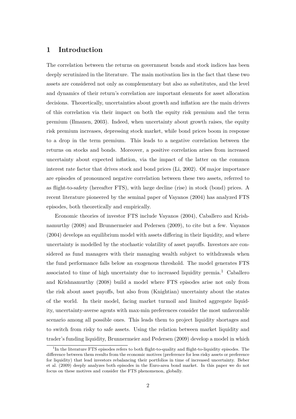## **1 Introduction**

The correlation between the returns on government bonds and stock indices has been deeply scrutinized in the literature. The main motivation lies in the fact that these two assets are considered not only as complementary but also as substitutes, and the level and dynamics of their return's correlation are important elements for asset allocation decisions. Theoretically, uncertainties about growth and inflation are the main drivers of this correlation via their impact on both the equity risk premium and the term premium (Ilmanen, 2003). Indeed, when uncertainty about growth raises, the equity risk premium increases, depressing stock market, while bond prices boom in response to a drop in the term premium. This leads to a negative correlation between the returns on stocks and bonds. Moreover, a positive correlation arises from increased uncertainty about expected inflation, via the impact of the latter on the common interest rate factor that drives stock and bond prices (Li, 2002). Of major importance are episodes of pronounced negative correlation between these two assets, referred to as flight-to-safety (hereafter FTS), with large decline (rise) in stock (bond) prices. A recent literature pioneered by the seminal paper of Vayanos (2004) has analyzed FTS episodes, both theoretically and empirically.

Economic theories of investor FTS include Vayanos (2004), Caballero and Krishnamurthy (2008) and Brunnermeier and Pedersen (2009), to cite but a few. Vayanos (2004) develops an equilibrium model with assets differing in their liquidity, and where uncertainty is modelled by the stochastic volatility of asset payoffs. Investors are considered as fund managers with their managing wealth subject to withdrawals when the fund performance falls below an exogenous threshold. The model generates FTS associated to time of high uncertainty due to increased liquidity premia.<sup>1</sup> Caballero and Krishnamurthy (2008) build a model where FTS episodes arise not only from the risk about asset payoffs, but also from (Knightian) uncertainty about the states of the world. In their model, facing market turmoil and limited aggregate liquidity, uncertainty-averse agents with max-min preferences consider the most unfavorable scenario among all possible ones. This leads them to project liquidity shortages and to switch from risky to safe assets. Using the relation between market liquidity and trader's funding liquidity, Brunnermeier and Pedersen (2009) develop a model in which

<sup>&</sup>lt;sup>1</sup>In the literature FTS episodes refers to both flight-to-quality and flight-to-liquidity episodes. The difference between them results from the economic motives (preference for less risky assets or preference for liquidity) that lead investors rebalancing their portfolios in time of increased uncertainty. Beber et al. (2009) deeply analyzes both episodes in the Euro-area bond market. In this paper we do not focus on these motives and consider the FTS phenomenon, globally.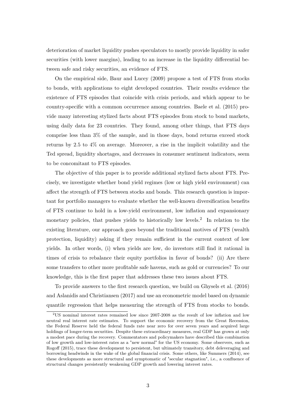deterioration of market liquidity pushes speculators to mostly provide liquidity in safer securities (with lower margins), leading to an increase in the liquidity differential between safe and risky securities, an evidence of FTS.

On the empirical side, Baur and Lucey (2009) propose a test of FTS from stocks to bonds, with applications to eight developed countries. Their results evidence the existence of FTS episodes that coincide with crisis periods, and which appear to be country-specific with a common occurrence among countries. Baele et al. (2015) provide many interesting stylized facts about FTS episodes from stock to bond markets, using daily data for 23 countries. They found, among other things, that FTS days comprise less than 3% of the sample, and in those days, bond returns exceed stock returns by 2*.*5 to 4% on average. Moreover, a rise in the implicit volatility and the Ted spread, liquidity shortages, and decreases in consumer sentiment indicators, seem to be concomitant to FTS episodes.

The objective of this paper is to provide additional stylized facts about FTS. Precisely, we investigate whether bond yield regimes (low or high yield environment) can affect the strength of FTS between stocks and bonds. This research question is important for portfolio managers to evaluate whether the well-known diversification benefits of FTS continue to hold in a low-yield environment, low inflation and expansionary monetary policies, that pushes yields to historically low levels.<sup>2</sup> In relation to the existing literature, our approach goes beyond the traditional motives of FTS (wealth protection, liquidity) asking if they remain sufficient in the current context of low yields. In other words, (i) when yields are low, do investors still find it rational in times of crisis to rebalance their equity portfolios in favor of bonds? (ii) Are there some transfers to other more profitable safe havens, such as gold or currencies? To our knowledge, this is the first paper that addresses these two issues about FTS.

To provide answers to the first research question, we build on Ghysels et al. (2016) and Aslanidis and Christiansen (2017) and use an econometric model based on dynamic quantile regression that helps measuring the strength of FTS from stocks to bonds.

<sup>2</sup>US nominal interest rates remained low since 2007-2008 as the result of low inflation and low neutral real interest rate estimates. To support the economic recovery from the Great Recession, the Federal Reserve held the federal funds rate near zero for over seven years and acquired large holdings of longer-term securities. Despite these extraordinary measures, real GDP has grown at only a modest pace during the recovery. Commentators and policymakers have described this combination of low growth and low-interest rates as a "new normal" for the US economy. Some observers, such as Rogoff (2015), trace these development to persistent, but ultimately transitory, debt deleveraging and borrowing headwinds in the wake of the global financial crisis. Some others, like Summers (2014), see these developments as more structural and symptomatic of "secular stagnation", i.e., a confluence of structural changes persistently weakening GDP growth and lowering interest rates.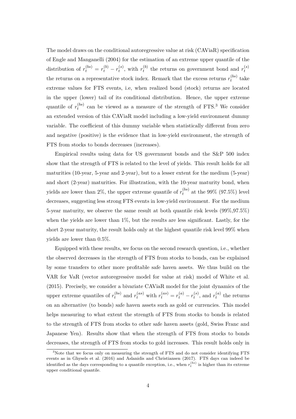The model draws on the conditional autoregressive value at risk (CAViaR) specification of Engle and Manganelli (2004) for the estimation of an extreme upper quantile of the distribution of  $r_t^{(bs)} = r_t^{(b)} - r_t^{(s)}$  $r_t^{(s)}$ , with  $r_t^{(b)}$  $t_t^{(b)}$  the returns on government bond and  $r_t^{(s)}$ *t* the returns on a representative stock index. Remark that the excess returns  $r_t^{(bs)}$  $t_t^{(os)}$  take extreme values for FTS events, i.e, when realized bond (stock) returns are located in the upper (lower) tail of its conditional distribution. Hence, the upper extreme quantile of  $r_t^{(bs)}$  $t_t^{(bs)}$  can be viewed as a measure of the strength of FTS.<sup>3</sup> We consider an extended version of this CAViaR model including a low-yield environment dummy variable. The coefficient of this dummy variable when statistically different from zero and negative (positive) is the evidence that in low-yield environment, the strength of FTS from stocks to bonds decreases (increases).

Empirical results using data for US government bonds and the S&P 500 index show that the strength of FTS is related to the level of yields. This result holds for all maturities (10-year, 5-year and 2-year), but to a lesser extent for the medium (5-year) and short (2-year) maturities. For illustration, with the 10-year maturity bond, when yields are lower than 2%, the upper extreme quantile of  $r_t^{(bs)}$  $t_t^{(os)}$  at the 99% (97.5%) level decreases, suggesting less strong FTS events in low-yield environment. For the medium 5-year maturity, we observe the same result at both quantile risk levels (99%,97*.*5%) when the yields are lower than 1%, but the results are less significant. Lastly, for the short 2-year maturity, the result holds only at the highest quantile risk level 99% when yields are lower than 0*.*5%.

Equipped with these results, we focus on the second research question, i.e., whether the observed decreases in the strength of FTS from stocks to bonds, can be explained by some transfers to other more profitable safe haven assets. We thus build on the VAR for VaR (vector autoregressive model for value at risk) model of White et al. (2015). Precisely, we consider a bivariate CAViaR model for the joint dynamics of the upper extreme quantiles of  $r_t^{(bs)}$  $r_t^{(as)}$  and  $r_t^{(as)}$  with  $r_t^{(as)} = r_t^{(a)} - r_t^{(s)}$  $r_t^{(s)}$ , and  $r_t^{(a)}$  $t_t^{(a)}$  the returns on an alternative (to bonds) safe haven assets such as gold or currencies. This model helps measuring to what extent the strength of FTS from stocks to bonds is related to the strength of FTS from stocks to other safe haven assets (gold, Swiss Franc and Japanese Yen). Results show that when the strength of FTS from stocks to bonds decreases, the strength of FTS from stocks to gold increases. This result holds only in

<sup>3</sup>Note that we focus only on measuring the strength of FTS and do not consider identifying FTS events as in Ghysels et al. (2016) and Aslanidis and Christiansen (2017). FTS days can indeed be identified as the days corresponding to a quantile exception, i.e., when  $r_t^{(bs)}$  is higher than its extreme upper conditional quantile.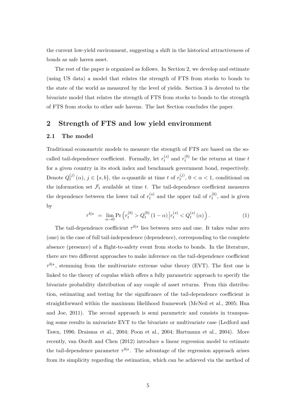the current low-yield environment, suggesting a shift in the historical attractiveness of bonds as safe haven asset.

The rest of the paper is organized as follows. In Section 2, we develop and estimate (using US data) a model that relates the strength of FTS from stocks to bonds to the state of the world as measured by the level of yields. Section 3 is devoted to the bivariate model that relates the strength of FTS from stocks to bonds to the strength of FTS from stocks to other safe havens. The last Section concludes the paper.

### **2 Strength of FTS and low yield environment**

#### **2.1 The model**

Traditional econometric models to measure the strength of FTS are based on the socalled tail-dependence coefficient. Formally, let  $r_t^{(s)}$  $t_t^{(s)}$  and  $r_t^{(b)}$  be the returns at time *t* for a given country in its stock index and benchmark government bond, respectively. Denote  $Q_t^{(j)}$  $t_t^{(j)}(\alpha)$ ,  $j \in \{s, b\}$ , the *α*-quantile at time *t* of  $r_t^{(j)}$  $t^{(J)}$ ,  $0 < \alpha < 1$ , conditional on the information set  $\mathcal{F}_t$  available at time  $t$ . The tail-dependence coefficient measures the dependence between the lower tail of  $r_t^{(s)}$  $t_t^{(s)}$  and the upper tail of  $r_t^{(b)}$  $t_t^{(0)}$ , and is given by

$$
\tau^{b|s} = \lim_{\alpha \to 0} \Pr \left( r_t^{(b)} > Q_t^{(b)} \left( 1 - \alpha \right) \middle| r_t^{(s)} < Q_t^{(s)} \left( \alpha \right) \right). \tag{1}
$$

The tail-dependence coefficient  $\tau^{b|s}$  lies between zero and one. It takes value zero (one) in the case of full tail-independence (dependence), corresponding to the complete absence (presence) of a flight-to-safety event from stocks to bonds. In the literature, there are two different approaches to make inference on the tail-dependence coefficient  $\tau^{b|s}$ , stemming from the multivariate extreme value theory (EVT). The first one is linked to the theory of copulas which offers a fully parametric approach to specify the bivariate probability distribution of any couple of asset returns. From this distribution, estimating and testing for the significance of the tail-dependence coefficient is straightforward within the maximum likelihood framework (McNeil et al., 2005; Hua and Joe, 2011). The second approach is semi parametric and consists in transposing some results in univariate EVT to the bivariate or multivariate case (Ledford and Tawn, 1996; Draisma et al., 2004; Poon et al., 2004; Hartmann et al., 2004). More recently, van Oordt and Chen (2012) introduce a linear regression model to estimate the tail-dependence parameter  $\tau^{b|s}$ . The advantage of the regression approach arises from its simplicity regarding the estimation, which can be achieved via the method of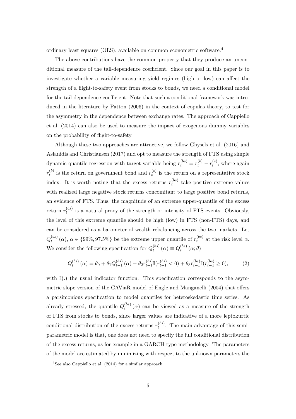ordinary least squares (OLS), available on common econometric software.<sup>4</sup>

The above contributions have the common property that they produce an unconditional measure of the tail-dependence coefficient. Since our goal in this paper is to investigate whether a variable measuring yield regimes (high or low) can affect the strength of a flight-to-safety event from stocks to bonds, we need a conditional model for the tail-dependence coefficient. Note that such a conditional framework was introduced in the literature by Patton (2006) in the context of copulas theory, to test for the asymmetry in the dependence between exchange rates. The approach of Cappiello et al. (2014) can also be used to measure the impact of exogenous dummy variables on the probability of flight-to-safety.

Although these two approaches are attractive, we follow Ghysels et al. (2016) and Aslanidis and Christiansen (2017) and opt to measure the strength of FTS using simple dynamic quantile regression with target variable being  $r_t^{(bs)} = r_t^{(b)} - r_t^{(s)}$  $t_t^{(s)}$ , where again  $r_t^{(b)}$  $t_t^{(b)}$  is the return on government bond and  $r_t^{(s)}$  $t_t^{(s)}$  is the return on a representative stock index. It is worth noting that the excess returns  $r_t^{(bs)}$  $t_t^{(os)}$  take positive extreme values with realized large negative stock returns concomitant to large positive bond returns, an evidence of FTS. Thus, the magnitude of an extreme upper-quantile of the excess  $\text{return } r_t^{(bs)}$  $t_t^{(os)}$  is a natural proxy of the strength or intensity of FTS events. Obviously, the level of this extreme quantile should be high (low) in FTS (non-FTS) days, and can be considered as a barometer of wealth rebalancing across the two markets. Let  $Q_t^{(bs)}$  $t_t^{(bs)}(\alpha)$ ,  $\alpha \in \{99\%, 97.5\%\}$  be the extreme upper quantile of  $r_t^{(bs)}$  $t_t^{(os)}$  at the risk level  $\alpha$ . We consider the following specification for  $Q_t^{(bs)}$  $q_t^{(bs)}(\alpha) \equiv Q_t^{(bs)}$  $t^{(os)}$   $(\alpha; \theta)$ 

$$
Q_t^{(bs)}(\alpha) = \theta_0 + \theta_1 Q_{t-1}^{(bs)}(\alpha) - \theta_2 r_{t-1}^{(bs)} \mathbb{I}(r_{t-1}^{(bs)} < 0) + \theta_3 r_{t-1}^{(bs)} \mathbb{I}(r_{t-1}^{(bs)} \ge 0),\tag{2}
$$

with  $\mathbb{I}(.)$  the usual indicator function. This specification corresponds to the asymmetric slope version of the CAViaR model of Engle and Manganelli (2004) that offers a parsimonious specification to model quantiles for heteroskedastic time series. As already stressed, the quantile  $Q_t^{(bs)}$  $t_t^{(os)}(\alpha)$  can be viewed as a measure of the strength of FTS from stocks to bonds, since larger values are indicative of a more leptokurtic conditional distribution of the excess returns  $r_t^{(bs)}$  $t_t^{(os)}$ . The main advantage of this semiparametric model is that, one does not need to specify the full conditional distribution of the excess returns, as for example in a GARCH-type methodology. The parameters of the model are estimated by minimizing with respect to the unknown parameters the

<sup>4</sup>See also Cappiello et al. (2014) for a similar approach.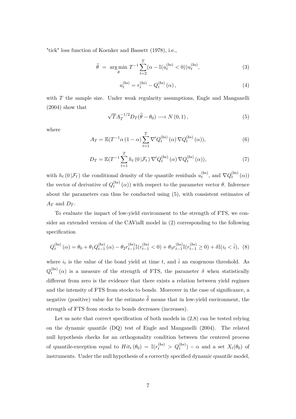"tick" loss function of Koenker and Bassett (1978), i.e.,

$$
\hat{\theta} = \underset{\theta}{\arg\min} \ T^{-1} \sum_{t=2}^{T} (\alpha - \mathbb{I}(u_t^{(bs)} < 0)) u_t^{(bs)}, \tag{3}
$$

$$
u_t^{(bs)} = r_t^{(bs)} - Q_t^{(bs)}(\alpha), \qquad (4)
$$

with *T* the sample size. Under weak regularity assumptions, Engle and Manganelli (2004) show that

$$
\sqrt{T}A_T^{-1/2}D_T(\hat{\theta}-\theta_0)\longrightarrow N(0,1)\,,\tag{5}
$$

where

$$
A_T = \mathbb{E}(T^{-1}\alpha (1 - \alpha) \sum_{t=1}^T \nabla' Q_t^{(bs)}(\alpha) \nabla Q_t^{(bs)}(\alpha)),
$$
\n(6)

$$
D_T = \mathbb{E}(T^{-1}\sum_{t=1}^T h_t(0|\mathcal{F}_t) \nabla' Q_t^{(bs)}(\alpha) \nabla Q_t^{(bs)}(\alpha)),
$$
\n(7)

with  $h_t(0|\mathcal{F}_t)$  the conditional density of the quantile residuals  $u_t^{(bs)}$  $t_t^{(bs)}$ , and  $\nabla Q_t^{(bs)}$  $t^{(os)}_t(\alpha))$ the vector of derivative of  $Q_t^{(bs)}$  $t_t^{(os)}(\alpha)$ ) with respect to the parameter vector  $\theta$ . Inference about the parameters can thus be conducted using (5), with consistent estimates of  $A_T$  and  $D_T$ .

To evaluate the impact of low-yield environment to the strength of FTS, we consider an extended version of the CAViaR model in (2) corresponding to the following specification

$$
Q_t^{(bs)}(\alpha) = \theta_0 + \theta_1 Q_{t-1}^{(bs)}(\alpha) - \theta_2 r_{t-1}^{(bs)} \mathbb{I}(r_{t-1}^{(bs)} < 0) + \theta_3 r_{t-1}^{(bs)} \mathbb{I}(r_{t-1}^{(bs)} \ge 0) + \delta \mathbb{I}(i_t < \overline{i}), \tag{8}
$$

where  $i_t$  is the value of the bond yield at time  $t$ , and  $\overline{i}$  an exogenous threshold. As  $Q_t^{(bs)}$  $t_t^{(os)}(\alpha)$  is a measure of the strength of FTS, the parameter  $\delta$  when statistically different from zero is the evidence that there exists a relation between yield regimes and the intensity of FTS from stocks to bonds. Moreover in the case of significance, a negative (positive) value for the estimate  $\hat{\delta}$  means that in low-yield environment, the strength of FTS from stocks to bonds decreases (increases).

Let us note that correct specification of both models in (2,8) can be tested relying on the dynamic quantile (DQ) test of Engle and Manganelli (2004). The related null hypothesis checks for an orthogonality condition between the centered process of quantile-exception equal to  $Hit_t(\theta_0) = \mathbb{I}(r_t^{(bs)} > Q_t^{(bs)}) - \alpha$  and a set  $X_t(\theta_0)$  of instruments. Under the null hypothesis of a correctly specified dynamic quantile model,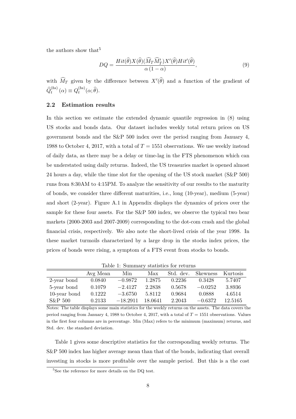the authors show that  $5$ 

$$
DQ = \frac{Hit(\widehat{\theta})X(\widehat{\theta})(\widehat{M}_T\widehat{M}'_T)X'(\widehat{\theta})Hit'(\widehat{\theta})}{\alpha(1-\alpha)},
$$
\n(9)

with  $\widehat{M}_T$  given by the difference between  $X'(\widehat{\theta})$  and a function of the gradient of  $\widehat{Q}_t^{(bs)}(\alpha) \equiv Q_t^{(bs)}$  $t^{(os)}(\alpha;\theta).$ 

#### **2.2 Estimation results**

In this section we estimate the extended dynamic quantile regression in (8) using US stocks and bonds data. Our dataset includes weekly total return prices on US government bonds and the S&P 500 index over the period ranging from January 4, 1988 to October 4, 2017, with a total of  $T = 1551$  observations. We use weekly instead of daily data, as there may be a delay or time-lag in the FTS phenomenon which can be understated using daily returns. Indeed, the US treasuries market is opened almost 24 hours a day, while the time slot for the opening of the US stock market (S&P 500) runs from 8:30AM to 4:15PM. To analyze the sensitivity of our results to the maturity of bonds, we consider three different maturities, i.e., long (10-year), medium (5-year) and short (2-year). Figure A.1 in Appendix displays the dynamics of prices over the sample for these four assets. For the S&P 500 index, we observe the typical two bear markets (2000-2003 and 2007-2009) corresponding to the dot-com crash and the global financial crisis, respectively. We also note the short-lived crisis of the year 1998. In these market turmoils characterized by a large drop in the stocks index prices, the prices of bonds were rising, a symptom of a FTS event from stocks to bonds.

|              | Avg Mean | Min        | Max     | Std. dev. | <b>Skewness</b> | – Kurtosis |
|--------------|----------|------------|---------|-----------|-----------------|------------|
| 2-year bond  | 0.0840   | $-0.9872$  | 1.2875  | 0.2236    | 0.3428          | 5.7407     |
| 5-year bond  | 0.1079   | $-2.4127$  | 2.2838  | 0.5678    | $-0.0252$       | 3.8936     |
| 10-year bond | 0.1222   | $-3.6750$  | 5.8112  | 0.9684    | 0.0888          | 4.6514     |
| $S\&P500$    | 0.2133   | $-18.2911$ | 18.0641 | 2.2043    | $-0.6372$       | 12.5165    |

Table 1: Summary statistics for returns

Notes: The table displays some main statistics for the weekly returns on the assets. The data covers the period ranging from January 4, 1988 to October 4, 2017, with a total of  $T = 1551$  observations. Values in the first four columns are in percentage. Min (Max) refers to the minimum (maximum) returns, and Std. dev. the standard deviation.

Table 1 gives some descriptive statistics for the corresponding weekly returns. The S&P 500 index has higher average mean than that of the bonds, indicating that overall investing in stocks is more profitable over the sample period. But this is a the cost

 ${}^{5}$  See the reference for more details on the DQ test.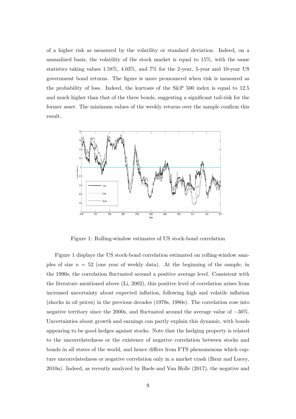of a higher risk as measured by the volatility or standard deviation. Indeed, on a annualized basis, the volatility of the stock market is equal to 15%, with the same statistics taking values 1*.*58%, 4*.*03%, and 7% for the 2-year, 5-year and 10-year US government bond returns. The figure is more pronounced when risk is measured as the probability of loss. Indeed, the kurtosis of the S&P 500 index is equal to 12*.*5 and much higher than that of the three bonds, suggesting a significant tail-risk for the former asset. The minimum values of the weekly returns over the sample confirm this result.



Figure 1: Rolling-window estimates of US stock-bond correlation

Figure 1 displays the US stock-bond correlation estimated on rolling-window samples of size  $n = 52$  (one year of weekly data). At the beginning of the sample, in the 1990s, the correlation fluctuated around a positive average level. Consistent with the literature mentioned above (Li, 2002), this positive level of correlation arises from increased uncertainty about expected inflation, following high and volatile inflation (shocks in oil prices) in the previous decades (1970s, 1980s). The correlation rose into negative territory since the 2000s, and fluctuated around the average value of −30%. Uncertainties about growth and earnings can partly explain this dynamic, with bonds appearing to be good hedges against stocks. Note that the hedging property is related to the uncorrelatedness or the existence of negative correlation between stocks and bonds in all states of the world, and hence differs from FTS phenomenons which capture uncorrelatedness or negative correlation only in a market crash (Baur and Lucey, 2010a). Indeed, as recently analyzed by Baele and Van Holle (2017), the negative and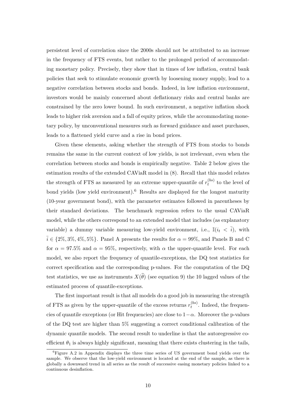persistent level of correlation since the 2000s should not be attributed to an increase in the frequency of FTS events, but rather to the prolonged period of accommodating monetary policy. Precisely, they show that in times of low inflation, central bank policies that seek to stimulate economic growth by loosening money supply, lead to a negative correlation between stocks and bonds. Indeed, in low inflation environment, investors would be mainly concerned about deflationary risks and central banks are constrained by the zero lower bound. In such environment, a negative inflation shock leads to higher risk aversion and a fall of equity prices, while the accommodating monetary policy, by unconventional measures such as forward guidance and asset purchases, leads to a flattened yield curve and a rise in bond prices.

Given these elements, asking whether the strength of FTS from stocks to bonds remains the same in the current context of low yields, is not irrelevant, even when the correlation between stocks and bonds is empirically negative. Table 2 below gives the estimation results of the extended CAViaR model in (8). Recall that this model relates the strength of FTS as measured by an extreme upper-quantile of  $r_t^{(bs)}$  $t_t^{(os)}$  to the level of bond yields (low yield environment).<sup>6</sup> Results are displayed for the longest maturity (10-year government bond), with the parameter estimates followed in parentheses by their standard deviations. The benchmark regression refers to the usual CAViaR model, while the others correspond to an extended model that includes (as explanatory variable) a dummy variable measuring low-yield environment, i.e.,  $\mathbb{I}(i_t < \overline{i})$ , with  $\bar{i} \in \{2\%, 3\%, 4\%, 5\%\}.$  Panel A presents the results for  $\alpha = 99\%$ , and Panels B and C for  $\alpha = 97.5\%$  and  $\alpha = 95\%$ , respectively, with  $\alpha$  the upper-quantile level. For each model, we also report the frequency of quantile-exceptions, the DQ test statistics for correct specification and the corresponding p-values. For the computation of the DQ test statistics, we use as instruments  $X(\theta)$  (see equation 9) the 10 lagged values of the estimated process of quantile-exceptions.

The first important result is that all models do a good job in measuring the strength of FTS as given by the upper-quantile of the excess returns  $r_t^{(bs)}$  $t_t^{(os)}$ . Indeed, the frequencies of quantile exceptions (or Hit frequencies) are close to  $1-\alpha$ . Moreover the p-values of the DQ test are higher than 5% suggesting a correct conditional calibration of the dynamic quantile models. The second result to underline is that the autoregressive coefficient  $\theta_1$  is always highly significant, meaning that there exists clustering in the tails,

<sup>6</sup>Figure A.2 in Appendix displays the three time series of US government bond yields over the sample. We observe that the low-yield environment is located at the end of the sample, as there is globally a downward trend in all series as the result of successive easing monetary policies linked to a continuous desinflation.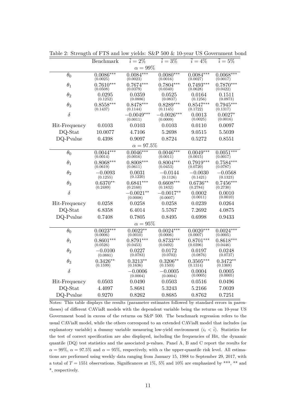|               | Benchmark               | $i=2\%$                  | $i = 3\%$                | $i = 4\%$               | $i = 5\%$               |  |  |
|---------------|-------------------------|--------------------------|--------------------------|-------------------------|-------------------------|--|--|
| $\alpha=99\%$ |                         |                          |                          |                         |                         |  |  |
| $\theta_0$    | $0.0086***$<br>(0.0025) | $0.0084***$<br>(0.0023)  | $0.0080***$<br>(0.0016)  | $0.0084***$<br>(0.0027) | $0.0068***$<br>(0.0017) |  |  |
| $\theta_1$    | $0.7610***$<br>(0.0508) | $0.7674***$<br>(0.0379)  | $0.7804***$<br>(0.0340)  | $0.7493***$<br>(0.0628) | $0.7870***$<br>(0.0422) |  |  |
| $\theta_2$    | 0.0295<br>(0.1252)      | 0.0359<br>(0.0886)       | 0.0525<br>(0.0837)       | 0.0164<br>(0.1256)      | 0.1511<br>(0.0973)      |  |  |
| $\theta_3$    | $0.8558***$<br>(0.1437) | $0.8478***$<br>(0.1144)  | $0.8289***$<br>(0.1145)  | $0.8547***$<br>(0.1722) | $0.7945***$<br>(0.1317) |  |  |
| $\delta$      |                         | $-0.0049***$<br>(0.0011) | $-0.0026***$<br>(0.0009) | 0.0013<br>(0.0025)      | $0.0027*$<br>(0.0016)   |  |  |
| Hit-Frequency | 0.0103                  | 0.0103                   | 0.0103                   | 0.0110                  | 0.0097                  |  |  |
| DQ-Stat       | 10.0077                 | 4.7106                   | 5.2698                   | 9.0515                  | 5.5039                  |  |  |
| DQ-Pvalue     | 0.4398                  | 0.9097                   | 0.8724                   | 0.5272                  | 0.8551                  |  |  |
|               |                         | $\alpha=97.5\%$          |                          |                         |                         |  |  |
| $\theta_0$    | $0.0044***$<br>(0.0014) | $0.0046***$<br>(0.0016)  | $0.0046***$<br>(0.0011)  | $0.0049***$<br>(0.0015) | $0.0051***$<br>(0.0017) |  |  |
| $\theta_1$    | $0.8068***$<br>(0.0619) | $0.8008***$<br>(0.0611)  | $0.8004***$<br>(0.0453)  | $0.7919***$<br>(0.0720) | $0.7584***$<br>(0.0787) |  |  |
| $\theta_2$    | $-0.0093$<br>(0.1255)   | 0.0031<br>(0.1220)       | $-0.0144$<br>(0.1126)    | $-0.0030$<br>(0.1421)   | $-0.0568$<br>(0.1323)   |  |  |
| $\theta_3$    | $0.6370**$<br>(0.2489)  | $0.6841***$<br>(0.2160)  | $0.6608***$<br>(0.1832)  | $0.6736**$<br>(0.2784)  | $0.7456***$<br>(0.2730) |  |  |
| $\delta$      |                         | $-0.0021**$<br>(0.0008)  | $-0.0017**$<br>(0.0007)  | 0.0002<br>(0.0011)      | 0.0010<br>(0.0010)      |  |  |
| Hit-Frequency | 0.0258                  | 0.0258                   | 0.0258                   | 0.0239                  | 0.0264                  |  |  |
| DQ-Stat       | 6.8358                  | 6.4014                   | 5.5767                   | 7.2692                  | 4.0875                  |  |  |
| DQ-Pvalue     | 0.7408                  | 0.7805                   | 0.8495                   | 0.6998                  | 0.9433                  |  |  |
| $\alpha=95\%$ |                         |                          |                          |                         |                         |  |  |
| $\theta_0$    | $0.0023***$<br>(0.0006) | $0.0022**$<br>(0.0010)   | $0.0024***$<br>(0.0006)  | $0.0020***$<br>(0.0007) | $0.0024***$<br>(0.0005) |  |  |
| $\theta_1$    | $0.8601***$<br>(0.0526) | $0.8791***$<br>(0.0453)  | $0.8733***$<br>(0.0492)  | $0.8701***$<br>(0.0396) | $0.8618***$<br>(0.0446) |  |  |
| $\theta_2$    | $-0.0100$<br>(0.0881)   | 0.0227<br>(0.0783)       | 0.0172<br>(0.0702)       | 0.0197<br>(0.0876)      | 0.0248<br>(0.0737)      |  |  |
| $\theta_3$    | $0.3426**$<br>(0.1599)  | $0.3213**$<br>(0.1636)   | $0.3206**$<br>(0.1503)   | $0.3505***$<br>(0.1314) | $0.3472**$<br>(0.1369)  |  |  |
| $\delta$      |                         | $-0.0006$<br>(0.0004)    | $-0.0005$<br>(0.0004)    | 0.0004<br>(0.0005)      | 0.0005<br>(0.0005)      |  |  |
| Hit-Frequency | 0.0503                  | 0.0490                   | 0.0503                   | 0.0516                  | 0.0496                  |  |  |
| DQ-Stat       | 4.4097                  | 5.8681                   | 5.3243                   | 5.2166                  | 7.0039                  |  |  |
| DQ-Pvalue     | 0.9270                  | 0.8262                   | 0.8685                   | 0.8762                  | 0.7251                  |  |  |

Table 2: Strength of FTS and low yields: S&P 500 & 10-year US Government bond

Notes: This table displays the results (parameter estimates followed by standard errors in parentheses) of different CAViaR models with the dependent variable being the returns on 10-year US Government bond in excess of the returns on S&P 500. The benchmark regression refers to the usual CAViaR model, while the others correspond to an extended CAViaR model that includes (as explanatory variable) a dummy variable measuring low-yield environment  $(i_t < \overline{i})$ . Statistics for the test of correct specification are also displayed, including the frequencies of Hit, the dynamic quantile (DQ) test statistics and the associated p-values. Panel A, B and C report the results for  $\alpha = 99\%$ ,  $\alpha = 97.5\%$  and  $\alpha = 95\%$ , respectively, with  $\alpha$  the upper-quantile risk level. All estimations are performed using weekly data ranging from January 15, 1988 to September 29, 2017, with a total of  $T = 1551$  observations. Significances at 1%, 5% and 10% are emphasized by \*\*\*, \*\* and \*, respectively.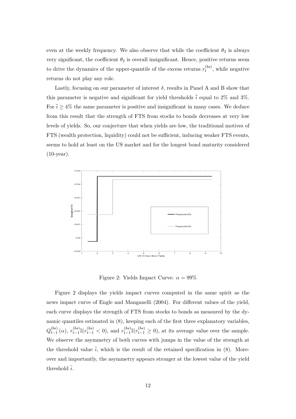even at the weekly frequency. We also observe that while the coefficient  $\theta_3$  is always very significant, the coefficient  $\theta_2$  is overall insignificant. Hence, positive returns seem to drive the dynamics of the upper-quantile of the excess returns  $r_t^{(bs)}$  $t_t^{(os)}$ , while negative returns do not play any role.

Lastly, focusing on our parameter of interest  $\delta$ , results in Panel A and B show that this parameter is negative and significant for yield thresholds  $\overline{i}$  equal to 2% and 3%. For  $\bar{i} > 4\%$  the same parameter is positive and insignificant in many cases. We deduce from this result that the strength of FTS from stocks to bonds decreases at very low levels of yields. So, our conjecture that when yields are low, the traditional motives of FTS (wealth protection, liquidity) could not be sufficient, inducing weaker FTS events, seems to hold at least on the US market and for the longest bond maturity considered (10-year).



Figure 2: Yields Impact Curve:  $\alpha = 99\%$ 

Figure 2 displays the yields impact curves computed in the same spirit as the news impact curve of Engle and Manganelli (2004). For different values of the yield, each curve displays the strength of FTS from stocks to bonds as measured by the dynamic quantiles estimated in (8), keeping each of the first three explanatory variables,  $Q_{t-1}^{(bs)}$  $t_{t-1}^{(bs)}(\alpha)$ ,  $r_{t-1}^{(bs)}$  $\sum_{t-1}^{(bs)}$  **I**( $r_{t-1}^{(bs)}$  < 0), and  $r_{t-1}^{(bs)}$  $\binom{(bs)}{t-1}$ <sup>[</sup>( $r$ <sup>(*bs*</sup>)</sup> $\geq$  0), at its average value over the sample. We observe the asymmetry of both curves with jumps in the value of the strength at the threshold value  $\bar{i}$ , which is the result of the retained specification in (8). Moreover and importantly, the asymmetry appears stronger at the lowest value of the yield threshold  $\overline{i}$ .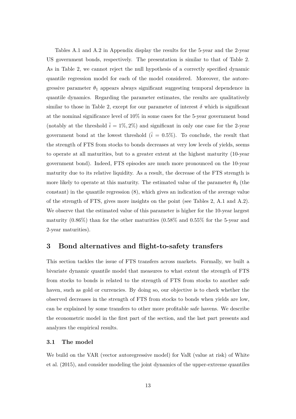Tables A.1 and A.2 in Appendix display the results for the 5-year and the 2-year US government bonds, respectively. The presentation is similar to that of Table 2. As in Table 2, we cannot reject the null hypothesis of a correctly specified dynamic quantile regression model for each of the model considered. Moreover, the autoregressive parameter  $\theta_1$  appears always significant suggesting temporal dependence in quantile dynamics. Regarding the parameter estimates, the results are qualitatively similar to those in Table 2, except for our parameter of interest  $\delta$  which is significant at the nominal significance level of 10% in some cases for the 5-year government bond (notably at the threshold  $\bar{i} = 1\%, 2\%$ ) and significant in only one case for the 2-year government bond at the lowest threshold  $(\bar{i} = 0.5\%)$ . To conclude, the result that the strength of FTS from stocks to bonds decreases at very low levels of yields, seems to operate at all maturities, but to a greater extent at the highest maturity (10-year government bond). Indeed, FTS episodes are much more pronounced on the 10-year maturity due to its relative liquidity. As a result, the decrease of the FTS strength is more likely to operate at this maturity. The estimated value of the parameter  $\theta_0$  (the constant) in the quantile regression (8), which gives an indication of the average value of the strength of FTS, gives more insights on the point (see Tables 2, A.1 and A.2). We observe that the estimated value of this parameter is higher for the 10-year largest maturity (0*.*86%) than for the other maturities (0*.*58% and 0*.*55% for the 5-year and 2-year maturities).

## **3 Bond alternatives and flight-to-safety transfers**

This section tackles the issue of FTS transfers across markets. Formally, we built a bivariate dynamic quantile model that measures to what extent the strength of FTS from stocks to bonds is related to the strength of FTS from stocks to another safe haven, such as gold or currencies. By doing so, our objective is to check whether the observed decreases in the strength of FTS from stocks to bonds when yields are low, can be explained by some transfers to other more profitable safe havens. We describe the econometric model in the first part of the section, and the last part presents and analyzes the empirical results.

#### **3.1 The model**

We build on the VAR (vector autoregressive model) for VaR (value at risk) of White et al. (2015), and consider modeling the joint dynamics of the upper-extreme quantiles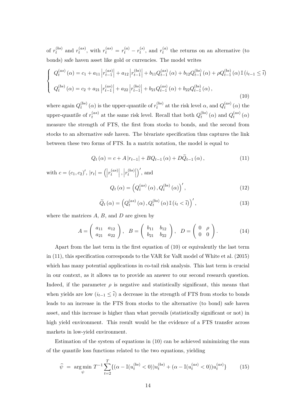of  $r_t^{(bs)}$  $t_t^{(bs)}$  and  $r_t^{(as)}$  $r_t^{(as)}$ , with  $r_t^{(as)} = r_t^{(a)} - r_t^{(s)}$  $r_t^{(s)}$ , and  $r_t^{(a)}$  $t_t^{(a)}$  the returns on an alternative (to bonds) safe haven asset like gold or currencies. The model writes

$$
\begin{cases}\nQ_t^{(as)}(\alpha) = c_1 + a_{11} \left| r_{t-1}^{(as)} \right| + a_{12} \left| r_{t-1}^{(bs)} \right| + b_{11} Q_{t-1}^{(as)}(\alpha) + b_{12} Q_{t-1}^{(bs)}(\alpha) + \rho Q_{t-1}^{(bs)}(\alpha) \mathbb{I} \left( i_{t-1} \le \overline{i} \right) \\
Q_t^{(bs)}(\alpha) = c_2 + a_{21} \left| r_{t-1}^{(as)} \right| + a_{22} \left| r_{t-1}^{(bs)} \right| + b_{21} Q_{t-1}^{(as)}(\alpha) + b_{22} Q_{t-1}^{(bs)}(\alpha),\n\end{cases} (10)
$$

where again  $Q_t^{(bs)}$  $t_t^{(bs)}(\alpha)$  is the upper-quantile of  $r_t^{(bs)}$  $a_t^{(bs)}$  at the risk level  $\alpha$ , and  $Q_t^{(as)}$  $t_t^{(as)}(\alpha)$  the upper-quantile of  $r_t^{(as)}$  $t_t^{(as)}$  at the same risk level. Recall that both  $Q_t^{(bs)}$  $q_t^{(bs)}(\alpha)$  and  $Q_t^{(as)}$  $t^{(as)}_t(\alpha)$ measure the strength of FTS, the first from stocks to bonds, and the second from stocks to an alternative safe haven. The bivariate specification thus captures the link between these two forms of FTS. In a matrix notation, the model is equal to

$$
Q_t(\alpha) = c + A|r_{t-1}| + BQ_{t-1}(\alpha) + D\tilde{Q}_{t-1}(\alpha), \qquad (11)
$$

with  $c = (c_1, c_2)'$ ,  $|r_t| = (r_t^{(as)}$  $\begin{vmatrix} (as) \\ t \end{vmatrix}$ ,  $\left| r_t^{(bs)} \right|$  $\begin{bmatrix} (bs) \\ t \end{bmatrix}$  $\big)$ <sup>'</sup>, and

$$
Q_t(\alpha) = \left(Q_t^{(as)}(\alpha), Q_t^{(bs)}(\alpha)\right)',\tag{12}
$$

$$
\widetilde{Q}_t\left(\alpha\right) = \left(Q_t^{(as)}\left(\alpha\right), Q_t^{(bs)}\left(\alpha\right) \mathbb{I}\left(i_t < \overline{i}\right)\right)',\tag{13}
$$

where the matrices *A*, *B*, and *D* are given by

$$
A = \begin{pmatrix} a_{11} & a_{12} \\ a_{21} & a_{22} \end{pmatrix}, \quad B = \begin{pmatrix} b_{11} & b_{12} \\ b_{21} & b_{22} \end{pmatrix}, \quad D = \begin{pmatrix} 0 & \rho \\ 0 & 0 \end{pmatrix}.
$$
 (14)

Apart from the last term in the first equation of (10) or equivalently the last term in (11), this specification corresponds to the VAR for VaR model of White et al. (2015) which has many potential applications in co-tail risk analysis. This last term is crucial in our context, as it allows us to provide an answer to our second research question. Indeed, if the parameter  $\rho$  is negative and statistically significant, this means that when yields are low  $(i_{t-1} \leq \overline{i})$  a decrease in the strength of FTS from stocks to bonds leads to an increase in the FTS from stocks to the alternative (to bond) safe haven asset, and this increase is higher than what prevails (statistically significant or not) in high yield environment. This result would be the evidence of a FTS transfer across markets in low-yield environment.

Estimation of the system of equations in (10) can be achieved minimizing the sum of the quantile loss functions related to the two equations, yielding

$$
\widehat{\psi} = \underset{\psi}{\arg\min} \ T^{-1} \sum_{t=2}^{T} \{ (\alpha - \mathbb{I}(u_t^{(bs)} < 0)) u_t^{(bs)} + (\alpha - \mathbb{I}(u_t^{(as)} < 0)) u_t^{(as)} \} \tag{15}
$$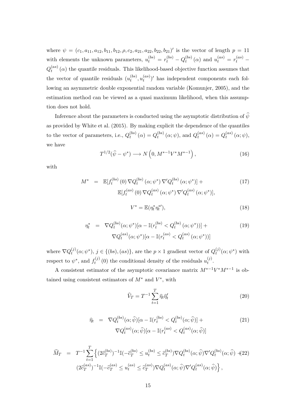where  $\psi = (c_1, a_{11}, a_{12}, b_{11}, b_{12}, \rho, c_2, a_{21}, a_{22}, b_{21})'$  is the vector of length  $p = 11$ with elements the unknown parameters,  $u_t^{(bs)} = r_t^{(bs)} - Q_t^{(bs)}$  $t_t^{(bs)}(\alpha)$  and  $u_t^{(as)} = r_t^{(as)} - t$  $Q_t^{(as)}$  $t^{(as)}$  ( $\alpha$ ) the quantile residuals. This likelihood-based objective function assumes that the vector of quantile residuals  $(u_t^{(bs)})$  $u_t^{(bs)}, u_t^{(as)}$  $\binom{(as)}{t}$  has independent components each following an asymmetric double exponential random variable (Komunjer, 2005), and the estimation method can be viewed as a quasi maximum likelihood, when this assumption does not hold.

Inference about the parameters is conducted using the asymptotic distribution of  $\hat{\psi}$ as provided by White et al. (2015). By making explicit the dependence of the quantiles to the vector of parameters, i.e.,  $Q_t^{(bs)}$  $q_t^{(bs)}(\alpha) = Q_t^{(bs)}$  $q_t^{(bs)}(\alpha; \psi)$ , and  $Q_t^{(as)}$  $a_t^{(as)}(\alpha) = Q_t^{(as)}$  $t^{(as)}_t(\alpha;\psi),$ we have

$$
T^{1/2}(\hat{\psi} - \psi^*) \longrightarrow N\left(0, M^{*-1}V^*M^{*-1}\right),\tag{16}
$$

with

$$
M^* = \mathbb{E}[f_t^{(bs)}(0) \nabla Q_t^{(bs)}(\alpha; \psi^*) \nabla' Q_t^{(bs)}(\alpha; \psi^*)] + \mathbb{E}[f_t^{(as)}(0) \nabla Q_t^{(as)}(\alpha; \psi^*) \nabla' Q_t^{(as)}(\alpha; \psi^*)],
$$
\n
$$
V^* = \mathbb{E}(\eta_t^* \eta_t^{*'}),
$$
\n(18)

$$
\eta_t^* = \nabla Q_t^{(bs)}(\alpha; \psi^*) [\alpha - \mathbb{I}(r_t^{(bs)} < Q_t^{(bs)}(\alpha; \psi^*))] + \tag{19}
$$

$$
\nabla Q_t^{(as)}(\alpha;\psi^*)[\alpha - \mathbb{I}(r_t^{(as)} < Q_t^{(as)}(\alpha;\psi^*))]
$$

where  $\nabla Q_t^{(j)}$  $(t)$ <sup>*t*</sup>), *j* ∈ {(*bs*)*,*(*as*)}, are the *p* × 1 gradient vector of  $Q_t^{(j)}$  $t^{(j)}(\alpha;\psi^*)$  with respect to  $\psi^*$ , and  $f_t^{(j)}$  $u_t^{(j)}(0)$  the conditional density of the residuals  $u_t^{(j)}$  $t^{(J)}$ .

A consistent estimator of the asymptotic covariance matrix *M*∗−1*V* <sup>∗</sup>*M*∗−<sup>1</sup> is obtained using consistent estimators of  $M^*$  and  $V^*$ , with

$$
\widehat{V}_T = T^{-1} \sum_{t=1}^T \widehat{\eta}_t \widehat{\eta}_t'
$$
\n(20)

$$
\widehat{\eta}_t = \nabla Q_t^{(bs)}(\alpha; \widehat{\psi})[\alpha - \mathbb{I}(r_t^{(bs)} < Q_t^{(bs)}(\alpha; \widehat{\psi})] + \nabla Q_t^{(as)}(\alpha; \widehat{\psi})[\alpha - \mathbb{I}(r_t^{(as)} < Q_t^{(as)}(\alpha; \widehat{\psi})] \tag{21}
$$

$$
\widehat{M}_T = T^{-1} \sum_{t=1}^T \left\{ (2\widehat{c}_T^{(bs)})^{-1} \mathbb{I}(-\widehat{c}_T^{(bs)} \le u_t^{(bs)} \le \widehat{c}_T^{(bs)}) \nabla Q_t^{(bs)}(\alpha; \widehat{\psi}) \nabla' Q_t^{(bs)}(\alpha; \widehat{\psi}) \n\right. \left. + (22)
$$
\n
$$
(2\widehat{c}_T^{(as)})^{-1} \mathbb{I}(-\widehat{c}_T^{(as)} \le u_t^{(as)} \le \widehat{c}_T^{(as)}) \nabla Q_t^{(as)}(\alpha; \widehat{\psi}) \nabla' Q_t^{(as)}(\alpha; \widehat{\psi}) \right\},
$$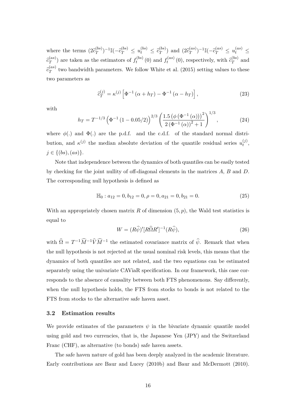where the terms  $(2\hat{c}_T^{(bs)})$  $\int_{T}^{(bs)}$ <sup>-1</sup>I(- $\hat{c}_T^{(bs)} \leq u_t^{(bs)} \leq \hat{c}_T^{(bs)}$  $\binom{(bs)}{T}$  and  $(2\widehat{c}_T^{(as)})$  $\int_{T}^{(as)}$ <sup>-1</sup>I(- $\hat{c}_{T}^{(as)} \leq u_{t}^{(as)} \leq$  $\widehat{c}^{(as)}_T$  $f_T^{(as)}$ ) are taken as the estimators of  $f_t^{(bs)}$  $f_t^{(bs)}(0)$  and  $f_t^{(as)}$  $\hat{c}^{(as)}_t(0)$ , respectively, with  $\hat{c}^{(bs)}_T$  $T^{(os)}$  and  $\widehat{c}_T^{(as)}$  $T^{(as)}$  two bandwidth parameters. We follow White et al. (2015) setting values to these two parameters as

$$
\hat{c}_T^{(j)} = \kappa^{(j)} \left[ \Phi^{-1} \left( \alpha + h_T \right) - \Phi^{-1} \left( \alpha - h_T \right) \right],\tag{23}
$$

with

$$
h_T = T^{-1/3} \left( \Phi^{-1} \left( 1 - 0.05/2 \right) \right)^{2/3} \left( \frac{1.5 \left( \phi \left( \Phi^{-1} \left( \alpha \right) \right) \right)^2}{2 \left( \Phi^{-1} \left( \alpha \right) \right)^2 + 1} \right)^{1/3},\tag{24}
$$

where  $\phi(.)$  and  $\Phi(.)$  are the p.d.f. and the c.d.f. of the standard normal distribution, and  $\kappa^{(j)}$  the median absolute deviation of the quantile residual series  $u_t^{(j)}$ *t* ,  $j \in \{(bs), (as)\}.$ 

Note that independence between the dynamics of both quantiles can be easily tested by checking for the joint nullity of off-diagonal elements in the matrices *A*, *B* and *D*. The corresponding null hypothesis is defined as

$$
\mathbb{H}_0: a_{12} = 0, b_{12} = 0, \rho = 0, a_{21} = 0, b_{21} = 0.
$$
 (25)

With an appropriately chosen matrix *R* of dimension (5*, p*), the Wald test statistics is equal to

$$
W = (R\widehat{\psi})'[R\widehat{\Omega}R']^{-1}(R\widehat{\psi}),\tag{26}
$$

with  $\hat{\Omega} = T^{-1} \hat{M}^{-1} \hat{V} \hat{M}^{-1}$  the estimated covariance matrix of  $\hat{\psi}$ . Remark that when the null hypothesis is not rejected at the usual nominal risk levels, this means that the dynamics of both quantiles are not related, and the two equations can be estimated separately using the univariate CAViaR specification. In our framework, this case corresponds to the absence of causality between both FTS phenomenons. Say differently, when the null hypothesis holds, the FTS from stocks to bonds is not related to the FTS from stocks to the alternative safe haven asset.

#### **3.2 Estimation results**

We provide estimates of the parameters  $\psi$  in the bivariate dynamic quantile model using gold and two currencies, that is, the Japanese Yen (JPY) and the Switzerland Franc (CHF), as alternative (to bonds) safe haven assets.

The safe haven nature of gold has been deeply analyzed in the academic literature. Early contributions are Baur and Lucey (2010b) and Baur and McDermott (2010).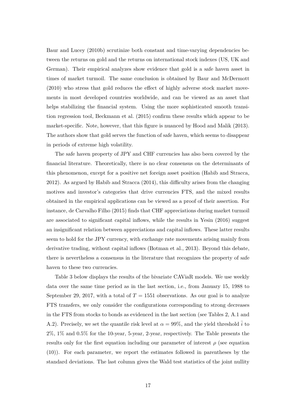Baur and Lucey (2010b) scrutinize both constant and time-varying dependencies between the returns on gold and the returns on international stock indexes (US, UK and German). Their empirical analyzes show evidence that gold is a safe haven asset in times of market turmoil. The same conclusion is obtained by Baur and McDermott (2010) who stress that gold reduces the effect of highly adverse stock market movements in most developed countries worldwide, and can be viewed as an asset that helps stabilizing the financial system. Using the more sophisticated smooth transition regression tool, Beckmann et al. (2015) confirm these results which appear to be market-specific. Note, however, that this figure is nuanced by Hood and Malik (2013). The authors show that gold serves the function of safe haven, which seems to disappear in periods of extreme high volatility.

The safe haven property of JPY and CHF currencies has also been covered by the financial literature. Theoretically, there is no clear consensus on the determinants of this phenomenon, except for a positive net foreign asset position (Habib and Stracca, 2012). As argued by Habib and Stracca (2014), this difficulty arises from the changing motives and investor's categories that drive currencies FTS, and the mixed results obtained in the empirical applications can be viewed as a proof of their assertion. For instance, de Carvalho Filho (2015) finds that CHF appreciations during market turmoil are associated to significant capital inflows, while the results in Yesin (2016) suggest an insignificant relation between appreciations and capital inflows. These latter results seem to hold for the JPY currency, with exchange rate movements arising mainly from derivative trading, without capital inflows (Botman et al., 2013). Beyond this debate, there is nevertheless a consensus in the literature that recognizes the property of safe haven to these two currencies.

Table 3 below displays the results of the bivariate CAViaR models. We use weekly data over the same time period as in the last section, i.e., from January 15, 1988 to September 29, 2017, with a total of  $T = 1551$  observations. As our goal is to analyze FTS transfers, we only consider the configurations corresponding to strong decreases in the FTS from stocks to bonds as evidenced in the last section (see Tables 2, A.1 and A.2). Precisely, we set the quantile risk level at  $\alpha = 99\%$ , and the yield threshold  $\bar{i}$  to 2%, 1% and 0*.*5% for the 10-year, 5-year, 2-year, respectively. The Table presents the results only for the first equation including our parameter of interest  $\rho$  (see equation (10)). For each parameter, we report the estimates followed in parentheses by the standard deviations. The last column gives the Wald test statistics of the joint nullity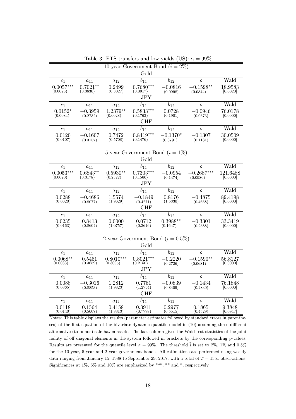| 10-year Government Bond $(\bar{i} = 2\%)$  |                        |                         |                                          |                        |                         |                     |
|--------------------------------------------|------------------------|-------------------------|------------------------------------------|------------------------|-------------------------|---------------------|
| Gold                                       |                        |                         |                                          |                        |                         |                     |
| c <sub>1</sub>                             | $a_{11}$               | $a_{12}$                | $b_{11}$                                 | $b_{12}$               | $\rho$                  | Wald                |
| $0.0057***$                                | $0.7021**$             | 0.2499                  | $0.7680***$                              | $-0.0816$              | $-0.1598**$             | 18.9583             |
| (0.0025)                                   | (0.3630)               | (0.3027)                | (0.0917)                                 | (0.0998)               | (0.0844)                | [0.0020]            |
|                                            |                        |                         | JPY.                                     |                        |                         |                     |
| c <sub>1</sub>                             | $a_{11}$               | $a_{12}$                | $b_{11}$                                 | $b_{12}$               | $\rho$                  | Wald                |
| $0.0152*$                                  | $-0.3959$              | $1.2379**$              | $0.5833***$<br>(0.1763)                  | 0.0728                 | $-0.0946$               | 76.0178             |
| (0.0084)                                   | (0.2732)               | (0.6028)                | <b>CHF</b>                               | (0.1901)               | (0.0673)                | [0.0000]            |
|                                            |                        |                         |                                          |                        |                         | Wald                |
| $c_1$                                      | $a_{11}$               | $a_{12}$                | $b_{11}$                                 | $b_{12}$               | $\rho$                  |                     |
| 0.0120<br>(0.0107)                         | $-0.1607$<br>(0.3157)  | 0.7472<br>(0.5708)      | $0.8419***$<br>(0.1476)                  | $-0.1370*$<br>(0.0791) | $-0.1307$<br>(0.1181)   | 30.0509<br>[0.0000] |
|                                            |                        |                         |                                          |                        |                         |                     |
|                                            |                        |                         | 5-year Government Bond $(\bar{i} = 1\%)$ |                        |                         |                     |
|                                            |                        |                         | Gold                                     |                        |                         |                     |
|                                            |                        |                         | $b_{11}$                                 | $b_{12}$               |                         | Wald                |
| $c_1$<br>$0.0053***$                       | $a_{11}$<br>$0.6843**$ | $a_{12}$<br>$0.5930**$  | $0.7303***$                              | $-0.0954$              | $\rho$<br>$-0.2687***$  | 121.6488            |
| (0.0020)                                   | (0.3178)               | (0.2522)                | (0.1566)                                 | (0.1474)               | (0.0986)                | [0.0000]            |
|                                            |                        |                         | <b>JPY</b>                               |                        |                         |                     |
| $c_1$                                      | $a_{11}$               | $a_{12}$                | $b_{11}$                                 | $b_{12}$               | $\rho$                  | Wald                |
| 0.0288                                     | $-0.4686$              | 1.5574                  | $-0.1849$                                | 0.8176                 | $-0.4875$               | 89.4198             |
| (0.0620)                                   | (0.8077)               | (1.9629)                | (0.4271)                                 | (1.5330)               | (0.4668)                | [0.0000]            |
|                                            |                        |                         | CHF                                      |                        |                         |                     |
| $c_1$                                      | $a_{11}$               | $a_{12}$                | $b_{11}$                                 | $b_{12}$               | $\rho$                  | Wald                |
| 0.0235                                     | 0.8413                 | 0.0000                  | 0.0712                                   | $0.3988**$             | $-0.3301$               | 33.3419             |
| (0.0163)                                   | (0.8604)               | (1.0757)                | (0.3616)                                 | (0.1647)               | (0.2588)                | [0.0000]            |
|                                            |                        |                         |                                          |                        |                         |                     |
| 2-year Government Bond $(\bar{i} = 0.5\%)$ |                        |                         |                                          |                        |                         |                     |
|                                            |                        |                         | Gold                                     |                        |                         |                     |
| c <sub>1</sub>                             | $a_{11}$               | $a_{12}$                | $b_{11}$                                 | $b_{12}$               | $\rho$                  | Wald                |
| $0.0068**$<br>(0.0033)                     | 0.5461<br>(0.3659)     | $0.8010***$<br>(0.3095) | $0.8021***$<br>(0.2150)                  | $-0.2220$<br>(0.2726)  | $-0.1590**$<br>(0.0681) | 56.8127<br>[0.0000] |
|                                            |                        |                         | <b>JPY</b>                               |                        |                         |                     |
| $c_1$                                      |                        |                         | $b_{11}$                                 | $b_{12}$               |                         | Wald                |
| 0.0088                                     | $a_{11}$<br>$-0.3016$  | $a_{12}$<br>1.2812      | 0.7761                                   | $-0.0839$              | $\rho$<br>$-0.1434$     | 76.1848             |
| (0.0365)                                   | (0.8853)               | (1.9823)                | (1.2754)                                 | (0.8409)               | (0.2830)                | [0.0000]            |
| $\rm CHF$                                  |                        |                         |                                          |                        |                         |                     |
| c <sub>1</sub>                             | $a_{11}$               | $a_{12}$                | $b_{11}$                                 | $b_{12}$               | $\rho$                  | Wald                |
| 0.0118                                     | 0.1564                 | 0.4158                  | 0.3911                                   | 0.2977                 | 0.1865                  | 9.3848              |
| (0.0140)                                   | (0.5007)               | (1.8313)                | (0.7778)                                 | (0.5515)               | (0.4529)                | [0.0947]            |

Table 3: FTS transfers and low yields (US):  $\alpha = 99\%$ 

Notes: This table displays the results (parameter estimates followed by standard errors in parentheses) of the first equation of the bivariate dynamic quantile model in (10) assuming three different alternative (to bonds) safe haven assets. The last column gives the Wald test statistics of the joint nullity of off diagonal elements in the system followed in brackets by the corresponding p-values. Results are presented for the quantile level  $\alpha = 99\%$ . The threshold  $\bar{i}$  is set to 2%, 1% and 0.5% for the 10-year, 5-year and 2-year government bonds. All estimations are performed using weekly data ranging from January 15, 1988 to September 29, 2017, with a total of  $T = 1551$  observations. Significances at  $1\%$ , 5% and  $10\%$  are emphasized by \*\*\*, \*\* and \*, respectively.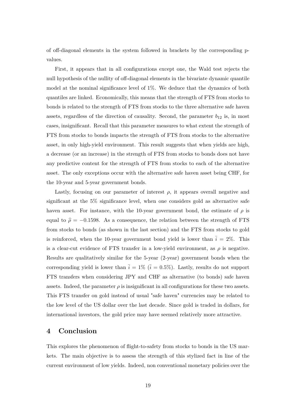of off-diagonal elements in the system followed in brackets by the corresponding pvalues.

First, it appears that in all configurations except one, the Wald test rejects the null hypothesis of the nullity of off-diagonal elements in the bivariate dynamic quantile model at the nominal significance level of 1%. We deduce that the dynamics of both quantiles are linked. Economically, this means that the strength of FTS from stocks to bonds is related to the strength of FTS from stocks to the three alternative safe haven assets, regardless of the direction of causality. Second, the parameter  $b_{12}$  is, in most cases, insignificant. Recall that this parameter measures to what extent the strength of FTS from stocks to bonds impacts the strength of FTS from stocks to the alternative asset, in only high-yield environment. This result suggests that when yields are high, a decrease (or an increase) in the strength of FTS from stocks to bonds does not have any predictive content for the strength of FTS from stocks to each of the alternative asset. The only exceptions occur with the alternative safe haven asset being CHF, for the 10-year and 5-year government bonds.

Lastly, focusing on our parameter of interest  $\rho$ , it appears overall negative and significant at the 5% significance level, when one considers gold as alternative safe haven asset. For instance, with the 10-year government bond, the estimate of  $\rho$  is equal to  $\hat{\rho} = -0.1598$ . As a consequence, the relation between the strength of FTS from stocks to bonds (as shown in the last section) and the FTS from stocks to gold is reinforced, when the 10-year government bond yield is lower than  $\bar{i} = 2\%$ . This is a clear-cut evidence of FTS transfer in a low-yield environment, as  $\rho$  is negative. Results are qualitatively similar for the 5-year (2-year) government bonds when the corresponding yield is lower than  $\bar{i} = 1\%$  ( $\bar{i} = 0.5\%$ ). Lastly, results do not support FTS transfers when considering JPY and CHF as alternative (to bonds) safe haven assets. Indeed, the parameter  $\rho$  is insignificant in all configurations for these two assets. This FTS transfer on gold instead of usual "safe haven" currencies may be related to the low level of the US dollar over the last decade. Since gold is traded in dollars, for international investors, the gold price may have seemed relatively more attractive.

## **4 Conclusion**

This explores the phenomenon of flight-to-safety from stocks to bonds in the US markets. The main objective is to assess the strength of this stylized fact in line of the current environment of low yields. Indeed, non conventional monetary policies over the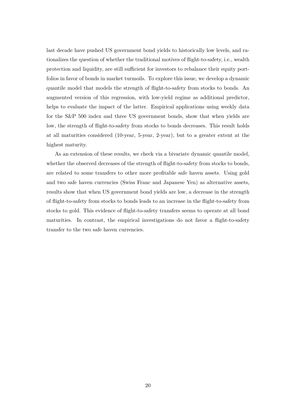last decade have pushed US government bond yields to historically low levels, and rationalizes the question of whether the traditional motives of flight-to-safety, i.e., wealth protection and liquidity, are still sufficient for investors to rebalance their equity portfolios in favor of bonds in market turmoils. To explore this issue, we develop a dynamic quantile model that models the strength of flight-to-safety from stocks to bonds. An augmented version of this regression, with low-yield regime as additional predictor, helps to evaluate the impact of the latter. Empirical applications using weekly data for the S&P 500 index and three US government bonds, show that when yields are low, the strength of flight-to-safety from stocks to bonds decreases. This result holds at all maturities considered (10-year, 5-year, 2-year), but to a greater extent at the highest maturity.

As an extension of these results, we check via a bivariate dynamic quantile model, whether the observed decreases of the strength of flight-to-safety from stocks to bonds, are related to some transfers to other more profitable safe haven assets. Using gold and two safe haven currencies (Swiss Franc and Japanese Yen) as alternative assets, results show that when US government bond yields are low, a decrease in the strength of flight-to-safety from stocks to bonds leads to an increase in the flight-to-safety from stocks to gold. This evidence of flight-to-safety transfers seems to operate at all bond maturities. In contrast, the empirical investigations do not favor a flight-to-safety transfer to the two safe haven currencies.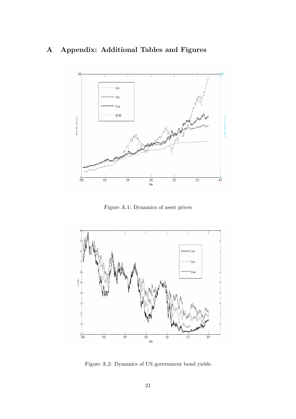# **A Appendix: Additional Tables and Figures**



Figure A.1: Dynamics of asset prices



Figure A.2: Dynamics of US government bond yields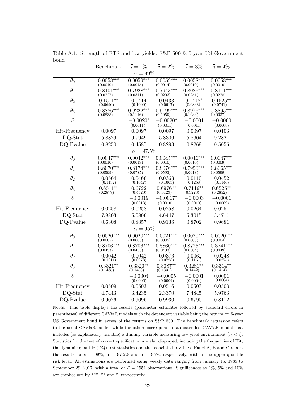|               | Benchmark               | $\overline{i} = 1\%$    | $\overline{i} = 2\%$    | $\overline{i} = 3\%$    | $\overline{i} = 4\%$    |  |  |
|---------------|-------------------------|-------------------------|-------------------------|-------------------------|-------------------------|--|--|
| $\alpha=99\%$ |                         |                         |                         |                         |                         |  |  |
| $\theta_0$    | $0.0058***$<br>(0.0010) | $0.0059***$<br>(0.0015) | $0.0059***$<br>(0.0014) | $0.0058***$<br>(0.0010) | $0.0058***$<br>(0.0010) |  |  |
| $\theta_1$    | $0.8101***$<br>(0.0227) | $0.7928***$<br>(0.0311) | $0.7943***$<br>(0.0293) | $0.8086***$<br>(0.0251) | $0.8111***$<br>(0.0228) |  |  |
| $\theta_2$    | $0.1511**$<br>(0.0696)  | 0.0414<br>(0.1000)      | 0.0433<br>(0.0917)      | $0.1448*$<br>(0.0838)   | $0.1525**$<br>(0.0741)  |  |  |
| $\theta_3$    | $0.8886***$<br>(0.0838) | $0.9222***$<br>(0.1116) | $0.9199***$<br>(0.1059) | $0.8976***$<br>(0.1033) | $0.8895***$<br>(0.0927) |  |  |
| $\delta$      |                         | $-0.0020*$<br>(0.0011)  | $-0.0020*$<br>(0.0011)  | $-0.0001$<br>(0.0011)   | $-0.0000$<br>(0.0008)   |  |  |
| Hit-Frequency | 0.0097                  | 0.0097                  | 0.0097                  | 0.0097                  | 0.0103                  |  |  |
| DQ-Stat       | 5.8829                  | 9.7949                  | 5.8306                  | 5.8604                  | 9.2821                  |  |  |
| DQ-Pvalue     | 0.8250                  | 0.4587                  | 0.8293                  | 0.8269                  | 0.5056                  |  |  |
|               |                         | $\alpha=97.5\%$         |                         |                         |                         |  |  |
| $\theta_0$    | $0.0047***$<br>(0.0010) | $0.0042***$<br>(0.0013) | $0.0045***$<br>(0.0010) | $0.0046***$<br>(0.0010) | $0.0047***$<br>(0.0009) |  |  |
| $\theta_1$    | $0.8070***$<br>(0.0599) | $0.8174***$<br>(0.0785) | $0.8076***$<br>(0.0593) | $0.7950***$<br>(0.0618) | $0.8065***$<br>(0.0599) |  |  |
| $\theta_2$    | 0.0564<br>(0.1132)      | 0.0466<br>(0.1047)      | 0.0363<br>(0.1005)      | 0.0110<br>(0.1258)      | 0.0452<br>(0.1146)      |  |  |
| $\theta_3$    | $0.6511**$<br>(0.2877)  | 0.6722<br>(0.4520)      | $0.6976**$<br>(0.3129)  | $0.7116**$<br>(0.3228)  | $0.6525**$<br>(0.2852)  |  |  |
| $\delta$      |                         | $-0.0019$<br>(0.0013)   | $-0.0017*$<br>(0.0010)  | $-0.0003$<br>(0.0010)   | $-0.0001$<br>(0.0009)   |  |  |
| Hit-Frequency | 0.0258                  | 0.0258                  | 0.0258                  | 0.0264                  | 0.0251                  |  |  |
| DQ-Stat       | 7.9803                  | 5.0806                  | 4.6447                  | 5.3015                  | 3.4711                  |  |  |
| DQ-Pvalue     | 0.6308                  | 0.8857                  | 0.9136                  | 0.8702                  | 0.9681                  |  |  |
| $\alpha=95\%$ |                         |                         |                         |                         |                         |  |  |
| $\theta_0$    | $0.0020***$<br>(0.0005) | $0.0020***$<br>(0.0005) | $0.0021***$<br>(0.0005) | $0.0020***$<br>(0.0005) | $0.0020***$<br>(0.0004) |  |  |
| $\theta_1$    | $0.8706***$<br>(0.0453) | $0.8706***$<br>(0.0455) | $0.8860***$<br>(0.0433) | $0.8725***$<br>(0.0504) | $0.8741***$<br>(0.0449) |  |  |
| $\theta_2$    | 0.0042<br>(0.1011)      | 0.0042<br>(0.0978)      | 0.0376<br>(0.0723)      | 0.0062<br>(0.1161)      | 0.0248<br>(0.0775)      |  |  |
| $\theta_3$    | $0.3321**$<br>(0.1435)  | $0.3320**$<br>(0.1458)  | $0.3087**$<br>(0.1331)  | $0.3281**$<br>(0.1442)  | $0.3314**$<br>(0.1414)  |  |  |
| $\delta$      |                         | $-0.0004$<br>(0.0006)   | $-0.0005$<br>(0.0004)   | $-0.0001$<br>(0.0004)   | 0.0001<br>(0.0004)      |  |  |
| Hit-Frequency | 0.0509                  | 0.0503                  | 0.0516                  | 0.0503                  | 0.0503                  |  |  |
| DQ-Stat       | 4.7443                  | 3.4235                  | 2.3370                  | 7.4845                  | 5.9763                  |  |  |
| DQ-Pvalue     | 0.9076                  | 0.9696                  | 0.9930                  | 0.6790                  | 0.8172                  |  |  |

Table A.1: Strength of FTS and low yields: S&P 500 & 5-year US Government bond

Notes: This table displays the results (parameter estimates followed by standard errors in parentheses) of different CAViaR models with the dependent variable being the returns on 5-year US Government bond in excess of the returns on S&P 500. The benchmark regression refers to the usual CAViaR model, while the others correspond to an extended CAViaR model that includes (as explanatory variable) a dummy variable measuring low-yield environment  $(i_t < \overline{i})$ . Statistics for the test of correct specification are also displayed, including the frequencies of Hit, the dynamic quantile (DQ) test statistics and the associated p-values. Panel A, B and C report the results for  $\alpha = 99\%$ ,  $\alpha = 97.5\%$  and  $\alpha = 95\%$ , respectively, with  $\alpha$  the upper-quantile risk level. All estimations are performed using weekly data ranging from January 15, 1988 to September 29, 2017, with a total of  $T = 1551$  observations. Significances at 1%, 5% and 10% are emphasized by \*\*\*, \*\* and \*, respectively.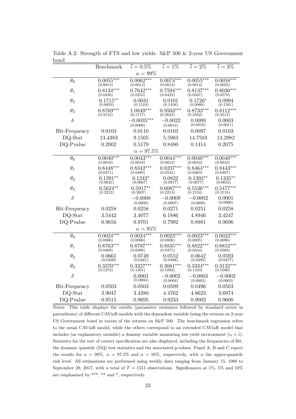|                 | Benchmark               | $\bar{i} = 0.5\%$        | $\overline{i} = 1\%$    | $\overline{i} = 2\%$    | $\overline{i} = 3\%$    |  |  |
|-----------------|-------------------------|--------------------------|-------------------------|-------------------------|-------------------------|--|--|
| $\alpha = 99\%$ |                         |                          |                         |                         |                         |  |  |
| $\theta_0$      | $0.0055***$<br>(0.0013) | $0.0062***$<br>(0.0013)  | $0.0074***$<br>(0.0013) | $0.0055***$<br>(0.0014) | $0.0058***$<br>(0.0023) |  |  |
| $\theta_1$      | $0.8134***$<br>(0.0430) | $0.7642***$<br>(0.0253)  | $0.7594***$<br>(0.0423) | $0.8137***$<br>(0.0507) | $0.8030***$<br>(0.0579) |  |  |
| $\theta_2$      | $0.1715**$<br>(0.0850)  | 0.0031<br>(0.1510)       | 0.0101<br>(0.1458)      | $0.1726*$<br>(0.0980)   | 0.0994<br>(0.1581)      |  |  |
| $\theta_3$      | $0.8769***$<br>(0.2154) | $1.0849***$<br>(0.1177)  | $0.9503***$<br>(0.2622) | $0.8733***$<br>(0.2562) | $0.8112***$<br>(0.2512) |  |  |
| $\delta$        |                         | $-0.0035***$<br>(0.0009) | $-0.0022$<br>(0.0014)   | 0.0000<br>(0.0010)      | 0.0003<br>(0.0011)      |  |  |
| Hit-Frequency   | 0.0103                  | 0.0110                   | 0.0103                  | 0.0097                  | 0.0103                  |  |  |
| $DQ$ -Stat      | 13.4383                 | 9.1505                   | 5.5963                  | 14.7503                 | 13.2982                 |  |  |
| DQ-Pvalue       | 0.2002                  | 0.5179                   | 0.8480                  | 0.1414                  | 0.2075                  |  |  |
|                 |                         | $\alpha=97.5\%$          |                         |                         |                         |  |  |
| $\theta_0$      | $0.0040***$<br>(0.0010) | $0.0043***$<br>(0.0010)  | $0.0044***$<br>(0.0012) | $0.0040***$<br>(0.0010) | $0.0040***$<br>(0.0010) |  |  |
| $\theta_1$      | $0.8448***$<br>(0.0471) | $0.8342***$<br>(0.0489)  | $0.8237***$<br>(0.0531) | $0.8464***$<br>(0.0463) | $0.8443***$<br>(0.0467) |  |  |
| $\theta_2$      | $0.1391**$<br>(0.0645)  | $0.1242*$<br>(0.0667)    | 0.0822<br>(0.0917)      | $0.1392**$<br>(0.0677)  | $0.1335**$<br>(0.0653)  |  |  |
| $\theta_3$      | $0.5624**$<br>(0.2212)  | $0.5917**$<br>(0.2607)   | $0.6087***$<br>(0.2213) | $0.5536***$<br>(0.2154) | $0.5477***$<br>(0.2118) |  |  |
| $\delta$        |                         | $-0.0008$<br>(0.0008)    | $-0.0009$<br>(0.0007)   | $-0.0002$<br>(0.0006)   | 0.0001<br>(0.0006)      |  |  |
| Hit-Frequency   | 0.0258                  | 0.0258                   | 0.0271                  | 0.0251                  | 0.0258                  |  |  |
| DQ-Stat         | 3.5442                  | 3.4077                   | 6.1886                  | 4.8946                  | 3.4247                  |  |  |
| DQ-Pvalue       | 0.9656                  | 0.9701                   | 0.7992                  | 0.8981                  | 0.9696                  |  |  |
| $\alpha=95\%$   |                         |                          |                         |                         |                         |  |  |
| $\theta_0$      | $0.0024***$<br>(0.0006) | $0.0024***$<br>(0.0006)  | $0.0023***$<br>(0.0006) | $0.0023***$<br>(0.0005) | $0.0023***$<br>(0.0006) |  |  |
| $\theta_1$      | $0.8763***$<br>(0.0409) | $0.8797***$<br>(0.0388)  | $0.8835***$<br>(0.0371) | $0.8822***$<br>(0.0344) | $0.8852***$<br>(0.0369) |  |  |
| $\theta_2$      | 0.0661<br>(0.0499)      | 0.0749<br>(0.0461)       | 0.0552<br>(0.0498)      | 0.0642<br>(0.0499)      | 0.0593<br>(0.0477)      |  |  |
| $\theta_3$      | $0.3370***$<br>(0.1273) | $0.3327***$<br>(0.1201)  | $0.3081***$<br>(0.1092) | $0.3334***$<br>(0.1103) | $0.3132***$<br>(0.1090) |  |  |
| $\delta$        |                         | 0.0001<br>(0.0004)       | $-0.0002$<br>(0.0004)   | $-0.0003$<br>(0.0003)   | $-0.0002$<br>(0.0003)   |  |  |
| Hit-Frequency   | 0.0503                  | 0.0503                   | 0.0509                  | 0.0496                  | 0.0503                  |  |  |
| DQ-Stat         | 3.9047                  | 3.4280                   | 4.4762                  | 4.8623                  | 3.6974                  |  |  |
| DQ-Pvalue       | 0.9515                  | 0.9695                   | 0.9233                  | 0.9002                  | 0.9600                  |  |  |

Table A.2: Strength of FTS and low yields: S&P 500 & 2-year US Government bond

Notes: This table displays the results (parameter estimates followed by standard errors in parentheses) of different CAViaR models with the dependent variable being the returns on 2-year US Government bond in excess of the returns on S&P 500. The benchmark regression refers to the usual CAViaR model, while the others correspond to an extended CAViaR model that includes (as explanatory variable) a dummy variable measuring low-yield environment  $(i_t < \overline{i})$ . Statistics for the test of correct specification are also displayed, including the frequencies of Hit, the dynamic quantile (DQ) test statistics and the associated p-values. Panel A, B and C report the results for  $\alpha = 99\%$ ,  $\alpha = 97.5\%$  and  $\alpha = 95\%$ , respectively, with  $\alpha$  the upper-quantile risk level. All estimations are performed using weekly data ranging from January 15, 1988 to September 29, 2017, with a total of  $T = 1551$  observations. Significances at 1%, 5% and 10% are emphasized by \*\*\*, \*\* and \*, respectively.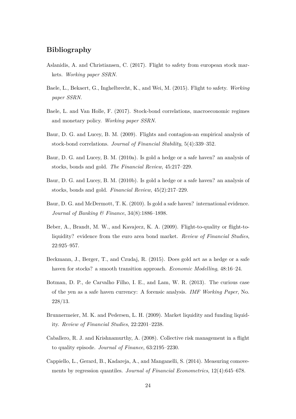## **Bibliography**

- Aslanidis, A. and Christiansen, C. (2017). Flight to safety from european stock markets. *Working paper SSRN*.
- Baele, L., Bekaert, G., Inghelbrecht, K., and Wei, M. (2015). Flight to safety. *Working paper SSRN*.
- Baele, L. and Van Holle, F. (2017). Stock-bond correlations, macroeconomic regimes and monetary policy. *Working paper SSRN*.
- Baur, D. G. and Lucey, B. M. (2009). Flights and contagion-an empirical analysis of stock-bond correlations. *Journal of Financial Stability*, 5(4):339–352.
- Baur, D. G. and Lucey, B. M. (2010a). Is gold a hedge or a safe haven? an analysis of stocks, bonds and gold. *The Financial Review*, 45:217–229.
- Baur, D. G. and Lucey, B. M. (2010b). Is gold a hedge or a safe haven? an analysis of stocks, bonds and gold. *Financial Review*, 45(2):217–229.
- Baur, D. G. and McDermott, T. K. (2010). Is gold a safe haven? international evidence. *Journal of Banking & Finance*, 34(8):1886–1898.
- Beber, A., Brandt, M. W., and Kavajecz, K. A. (2009). Flight-to-quality or flight-toliquidity? evidence from the euro area bond market. *Review of Financial Studies*, 22:925–957.
- Beckmann, J., Berger, T., and Czudaj, R. (2015). Does gold act as a hedge or a safe haven for stocks? a smooth transition approach. *Economic Modelling*, 48:16–24.
- Botman, D. P., de Carvalho Filho, I. E., and Lam, W. R. (2013). The curious case of the yen as a safe haven currency: A forensic analysis. *IMF Working Paper*, No. 228/13.
- Brunnermeier, M. K. and Pedersen, L. H. (2009). Market liquidity and funding liquidity. *Review of Financial Studies*, 22:2201–2238.
- Caballero, R. J. and Krishnamurthy, A. (2008). Collective risk management in a flight to quality episode. *Journal of Finance*, 63:2195–2230.
- Cappiello, L., Gerard, B., Kadareja, A., and Manganelli, S. (2014). Measuring comovements by regression quantiles. *Journal of Financial Econometrics*, 12(4):645–678.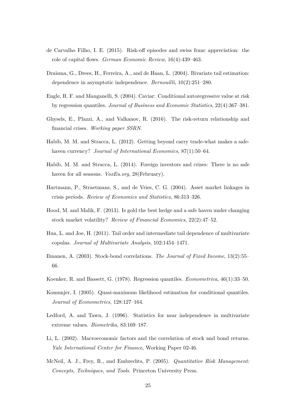- de Carvalho Filho, I. E. (2015). Risk-off episodes and swiss franc appreciation: the role of capital flows. *German Economic Review*, 16(4):439–463.
- Draisma, G., Drees, H., Ferreira, A., and de Haan, L. (2004). Bivariate tail estimation: dependence in asymptotic independence. *Bernouilli*, 10(2):251–280.
- Engle, R. F. and Manganelli, S. (2004). Caviar: Conditional autoregressive value at risk by regression quantiles. *Journal of Business and Economic Statistics*, 22(4):367–381.
- Ghysels, E., Plazzi, A., and Valkanov, R. (2016). The risk-return relationship and financial crises. *Working paper SSRN*.
- Habib, M. M. and Stracca, L. (2012). Getting beyond carry trade-what makes a safehaven currency? *Journal of International Economics*, 87(1):50–64.
- Habib, M. M. and Stracca, L. (2014). Foreign investors and crises: There is no safe haven for all seasons. *VoxEu.org*, 28(February).
- Hartmann, P., Straetmans, S., and de Vries, C. G. (2004). Asset market linkages in crisis periods. *Review of Economics and Statistics*, 86:313–326.
- Hood, M. and Malik, F. (2013). Is gold the best hedge and a safe haven under changing stock market volatility? *Review of Financial Economics*, 22(2):47–52.
- Hua, L. and Joe, H. (2011). Tail order and intermediate tail dependence of multivariate copulas. *Journal of Multivariate Analysis*, 102:1454–1471.
- Ilmanen, A. (2003). Stock-bond correlations. *The Journal of Fixed Income*, 13(2):55– 66.
- Koenker, R. and Bassett, G. (1978). Regression quantiles. *Econometrica*, 46(1):33–50.
- Komunjer, I. (2005). Quasi-maximum likelihood estimation for conditional quantiles. *Journal of Econometrics*, 128:127–164.
- Ledford, A. and Tawn, J. (1996). Statistics for near independence in multivariate extreme values. *Biometrika*, 83:169–187.
- Li, L. (2002). Macroeconomic factors and the correlation of stock and bond returns. *Yale International Center for Finance*, Working Paper 02-46.
- McNeil, A. J., Frey, R., and Embrechts, P. (2005). *Quantitative Risk Management: Concepts, Techniques, and Tools*. Princeton University Press.